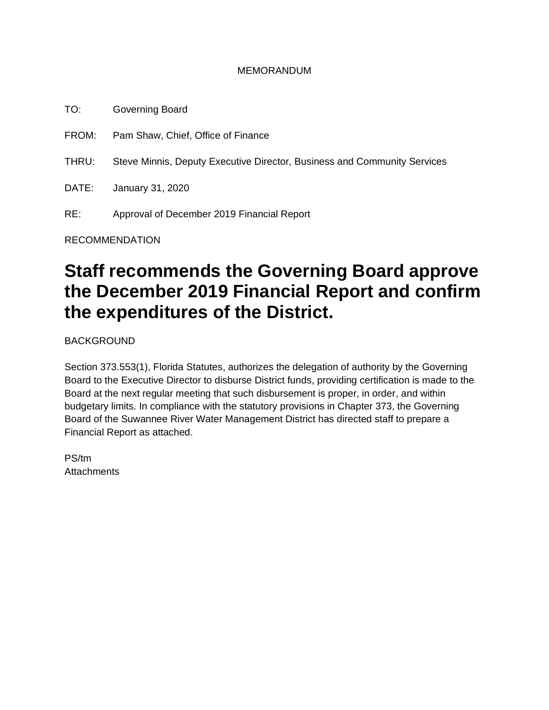#### MEMORANDUM

TO: Governing Board FROM: Pam Shaw, Chief, Office of Finance THRU: Steve Minnis, Deputy Executive Director, Business and Community Services DATE: January 31, 2020 RE: Approval of December 2019 Financial Report

RECOMMENDATION

# **Staff recommends the Governing Board approve the December 2019 Financial Report and confirm the expenditures of the District.**

BACKGROUND

Section 373.553(1), Florida Statutes, authorizes the delegation of authority by the Governing Board to the Executive Director to disburse District funds, providing certification is made to the Board at the next regular meeting that such disbursement is proper, in order, and within budgetary limits. In compliance with the statutory provisions in Chapter 373, the Governing Board of the Suwannee River Water Management District has directed staff to prepare a Financial Report as attached.

PS/tm **Attachments**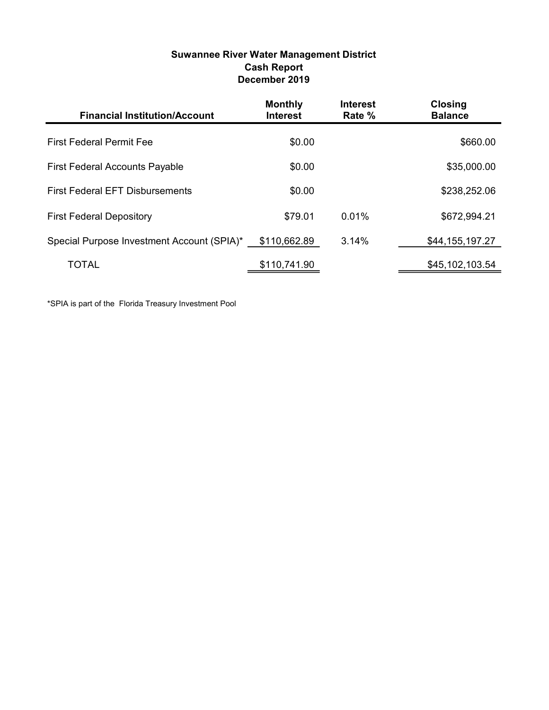| Suwannee River Water Management District |
|------------------------------------------|
| <b>Cash Report</b>                       |
| December 2019                            |

| <b>Financial Institution/Account</b>       | <b>Monthly</b><br><b>Interest</b> | <b>Interest</b><br>Rate % | <b>Closing</b><br><b>Balance</b> |
|--------------------------------------------|-----------------------------------|---------------------------|----------------------------------|
| <b>First Federal Permit Fee</b>            | \$0.00                            |                           | \$660.00                         |
| <b>First Federal Accounts Payable</b>      | \$0.00                            |                           | \$35,000.00                      |
| <b>First Federal EFT Disbursements</b>     | \$0.00                            |                           | \$238,252.06                     |
| <b>First Federal Depository</b>            | \$79.01                           | $0.01\%$                  | \$672,994.21                     |
| Special Purpose Investment Account (SPIA)* | \$110,662.89                      | 3.14%                     | \$44,155,197.27                  |
| TOTAL                                      | \$110,741.90                      |                           | \$45,102,103.54                  |

\*SPIA is part of the Florida Treasury Investment Pool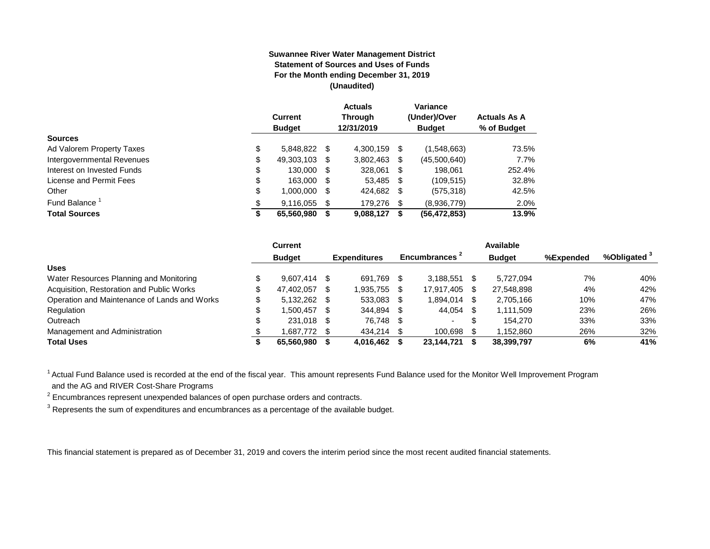#### **Suwannee River Water Management District Statement of Sources and Uses of Funds For the Month ending December 31, 2019 (Unaudited)**

|                                  | <b>Current</b><br><b>Budget</b> |      | <b>Actuals</b><br><b>Through</b><br>12/31/2019 |    | Variance<br>(Under)/Over<br><b>Budget</b> | <b>Actuals As A</b><br>% of Budget |
|----------------------------------|---------------------------------|------|------------------------------------------------|----|-------------------------------------------|------------------------------------|
| <b>Sources</b>                   |                                 |      |                                                |    |                                           |                                    |
| \$<br>Ad Valorem Property Taxes  | 5.848.822                       | - \$ | 4.300.159                                      | S  | (1,548,663)                               | 73.5%                              |
| \$<br>Intergovernmental Revenues | 49,303,103                      | S    | 3,802,463                                      | S  | (45,500,640)                              | 7.7%                               |
| \$<br>Interest on Invested Funds | 130.000                         | - \$ | 328,061                                        | \$ | 198.061                                   | 252.4%                             |
| \$<br>License and Permit Fees    | 163.000                         | - \$ | 53,485 \$                                      |    | (109, 515)                                | 32.8%                              |
| \$<br>Other                      | 1,000,000                       | S    | 424,682                                        | S  | (575, 318)                                | 42.5%                              |
| Fund Balance<br>\$               | 9.116.055                       | \$.  | 179,276                                        | -S | (8,936,779)                               | 2.0%                               |
| <b>Total Sources</b><br>\$       | 65,560,980                      |      | 9,088,127                                      | S  | (56, 472, 853)                            | 13.9%                              |

|                                              |   | Current        |      |                     |      |                           |    | Available     |           |                         |
|----------------------------------------------|---|----------------|------|---------------------|------|---------------------------|----|---------------|-----------|-------------------------|
|                                              |   | <b>Budget</b>  |      | <b>Expenditures</b> |      | Encumbrances <sup>2</sup> |    | <b>Budget</b> | %Expended | %Obligated <sup>3</sup> |
| <b>Uses</b>                                  |   |                |      |                     |      |                           |    |               |           |                         |
| Water Resources Planning and Monitoring      |   | $9.607.414$ \$ |      | 691.769             |      | 3.188.551                 |    | 5.727.094     | 7%        | 40%                     |
| Acquisition, Restoration and Public Works    | S | 47,402,057     | -SS  | 1,935,755           |      | 17.917.405                |    | 27,548,898    | 4%        | 42%                     |
| Operation and Maintenance of Lands and Works | S | 5,132,262 \$   |      | 533,083             |      | 1.894.014                 |    | 2,705,166     | 10%       | 47%                     |
| Regulation                                   |   | 1.500.457      | - \$ | 344.894             | -SS  | 44,054                    |    | 1.111.509     | 23%       | 26%                     |
| Outreach                                     |   | 231,018 \$     |      | 76.748              | - \$ | $\overline{\phantom{a}}$  | -S | 154.270       | 33%       | 33%                     |
| Management and Administration                |   | 1,687,772 \$   |      | 434,214             |      | 100.698                   |    | 1,152,860     | 26%       | 32%                     |
| <b>Total Uses</b>                            |   | 65.560.980     |      | 4.016.462           |      | 23.144.721                |    | 38,399,797    | 6%        | 41%                     |

<sup>1</sup> Actual Fund Balance used is recorded at the end of the fiscal year. This amount represents Fund Balance used for the Monitor Well Improvement Program and the AG and RIVER Cost-Share Programs

 $2$  Encumbrances represent unexpended balances of open purchase orders and contracts.

 $^3$  Represents the sum of expenditures and encumbrances as a percentage of the available budget.

This financial statement is prepared as of December 31, 2019 and covers the interim period since the most recent audited financial statements.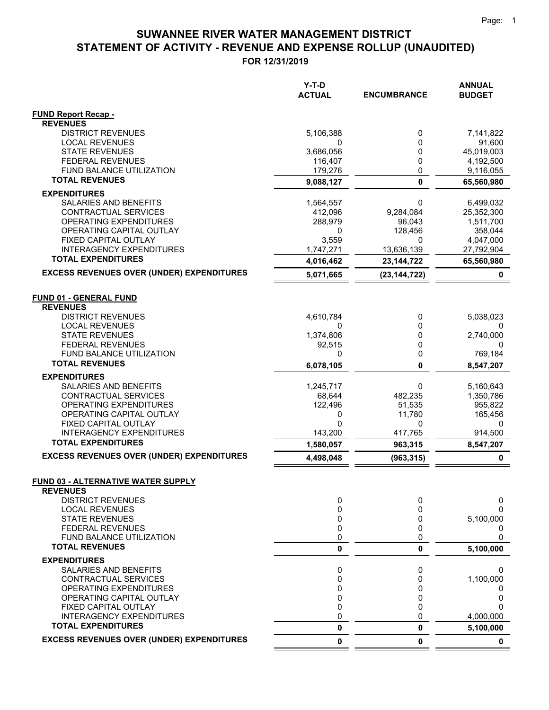$=$   $=$ 

### **STATEMENT OF ACTIVITY - REVENUE AND EXPENSE ROLLUP (UNAUDITED) SUWANNEE RIVER WATER MANAGEMENT DISTRICT**

|                                                         | Y-T-D<br><b>ACTUAL</b> | <b>ENCUMBRANCE</b> | <b>ANNUAL</b><br><b>BUDGET</b> |
|---------------------------------------------------------|------------------------|--------------------|--------------------------------|
| <b>FUND Report Recap -</b>                              |                        |                    |                                |
| <b>REVENUES</b>                                         |                        |                    |                                |
| <b>DISTRICT REVENUES</b><br><b>LOCAL REVENUES</b>       | 5,106,388<br>0         | 0<br>0             | 7,141,822<br>91,600            |
| <b>STATE REVENUES</b>                                   | 3,686,056              | 0                  | 45,019,003                     |
| <b>FEDERAL REVENUES</b>                                 | 116,407                | 0                  | 4,192,500                      |
| FUND BALANCE UTILIZATION                                | 179,276                | 0                  | 9,116,055                      |
| <b>TOTAL REVENUES</b>                                   | 9,088,127              | $\mathbf 0$        | 65,560,980                     |
| <b>EXPENDITURES</b>                                     |                        |                    |                                |
| SALARIES AND BENEFITS                                   | 1,564,557              | 0                  | 6,499,032                      |
| CONTRACTUAL SERVICES                                    | 412,096                | 9,284,084          | 25,352,300                     |
| OPERATING EXPENDITURES                                  | 288,979                | 96,043             | 1,511,700                      |
| OPERATING CAPITAL OUTLAY                                | 0                      | 128,456            | 358,044                        |
| FIXED CAPITAL OUTLAY                                    | 3,559                  | 0                  | 4,047,000                      |
| <b>INTERAGENCY EXPENDITURES</b>                         | 1,747,271              | 13,636,139         | 27,792,904                     |
| <b>TOTAL EXPENDITURES</b>                               | 4,016,462              | 23, 144, 722       | 65,560,980                     |
| <b>EXCESS REVENUES OVER (UNDER) EXPENDITURES</b>        | 5,071,665              | (23, 144, 722)     | 0                              |
| <b>FUND 01 - GENERAL FUND</b>                           |                        |                    |                                |
| <b>REVENUES</b>                                         |                        |                    |                                |
| <b>DISTRICT REVENUES</b>                                | 4,610,784              | 0                  | 5,038,023                      |
| <b>LOCAL REVENUES</b>                                   | 0                      | 0                  |                                |
| <b>STATE REVENUES</b>                                   | 1,374,806              | 0                  | 2,740,000                      |
| <b>FEDERAL REVENUES</b>                                 | 92,515                 | 0                  | 0                              |
| <b>FUND BALANCE UTILIZATION</b>                         | 0                      | 0                  | 769,184                        |
| <b>TOTAL REVENUES</b>                                   | 6,078,105              | $\mathbf 0$        | 8,547,207                      |
| <b>EXPENDITURES</b>                                     |                        |                    |                                |
| SALARIES AND BENEFITS                                   | 1,245,717              | 0                  | 5,160,643                      |
| CONTRACTUAL SERVICES                                    | 68,644                 | 482,235            | 1,350,786                      |
| OPERATING EXPENDITURES                                  | 122,496                | 51,535             | 955,822                        |
| OPERATING CAPITAL OUTLAY                                | 0                      | 11,780             | 165,456                        |
| FIXED CAPITAL OUTLAY<br><b>INTERAGENCY EXPENDITURES</b> | 0<br>143,200           | 0<br>417,765       | 0<br>914,500                   |
| <b>TOTAL EXPENDITURES</b>                               | 1,580,057              | 963,315            | 8,547,207                      |
| <b>EXCESS REVENUES OVER (UNDER) EXPENDITURES</b>        | 4,498,048              | (963, 315)         | 0                              |
|                                                         |                        |                    |                                |
| <b>FUND 03 - ALTERNATIVE WATER SUPPLY</b>               |                        |                    |                                |
| <b>REVENUES</b><br><b>DISTRICT REVENUES</b>             |                        | 0                  |                                |
| <b>LOCAL REVENUES</b>                                   | 0<br>0                 | 0                  | 0<br>0                         |
| <b>STATE REVENUES</b>                                   | 0                      | 0                  | 5,100,000                      |
| <b>FEDERAL REVENUES</b>                                 | 0                      | 0                  | 0                              |
| FUND BALANCE UTILIZATION                                | 0                      | 0                  | 0                              |
| <b>TOTAL REVENUES</b>                                   | 0                      | 0                  | 5,100,000                      |
| <b>EXPENDITURES</b>                                     |                        |                    |                                |
| SALARIES AND BENEFITS                                   | 0                      | 0                  | 0                              |
| CONTRACTUAL SERVICES                                    | 0                      | 0                  | 1,100,000                      |
| OPERATING EXPENDITURES                                  | 0                      | 0                  | O                              |
| OPERATING CAPITAL OUTLAY                                | 0                      | 0                  | 0                              |
| FIXED CAPITAL OUTLAY                                    | 0                      | 0                  | ი                              |
| <b>INTERAGENCY EXPENDITURES</b>                         | 0                      | 0                  | 4,000,000                      |
| <b>TOTAL EXPENDITURES</b>                               | 0                      | 0                  | 5,100,000                      |
| <b>EXCESS REVENUES OVER (UNDER) EXPENDITURES</b>        | 0                      | 0                  | $\mathbf 0$                    |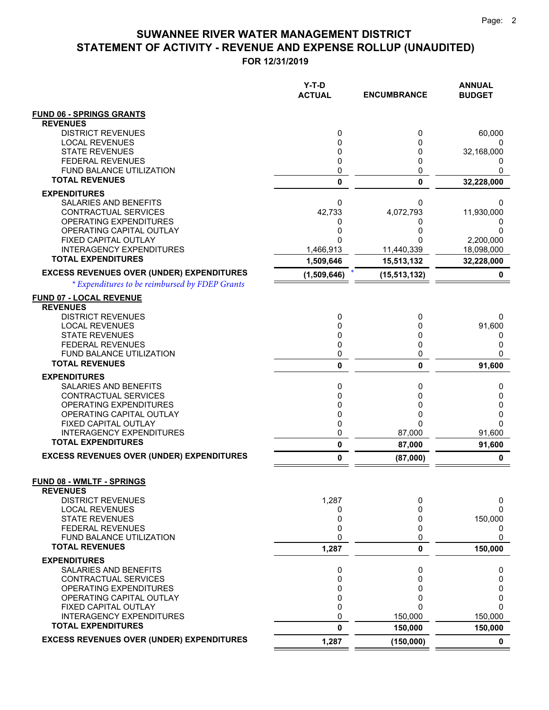|                                                                                                    | Y-T-D<br><b>ACTUAL</b> | <b>ENCUMBRANCE</b> | <b>ANNUAL</b><br><b>BUDGET</b> |
|----------------------------------------------------------------------------------------------------|------------------------|--------------------|--------------------------------|
| <b>FUND 06 - SPRINGS GRANTS</b>                                                                    |                        |                    |                                |
| <b>REVENUES</b>                                                                                    |                        |                    |                                |
| <b>DISTRICT REVENUES</b>                                                                           | 0                      | 0                  | 60,000                         |
| <b>LOCAL REVENUES</b><br><b>STATE REVENUES</b>                                                     | 0<br>0                 | $\mathbf{0}$<br>0  |                                |
| <b>FEDERAL REVENUES</b>                                                                            | 0                      | 0                  | 32,168,000<br>0                |
| <b>FUND BALANCE UTILIZATION</b>                                                                    | 0                      | 0                  | 0                              |
| <b>TOTAL REVENUES</b>                                                                              | 0                      | 0                  | 32,228,000                     |
| <b>EXPENDITURES</b>                                                                                |                        |                    |                                |
| SALARIES AND BENEFITS                                                                              | 0                      | 0                  | 0                              |
| CONTRACTUAL SERVICES                                                                               | 42,733                 | 4,072,793          | 11,930,000                     |
| OPERATING EXPENDITURES                                                                             | 0                      | 0                  | 0                              |
| OPERATING CAPITAL OUTLAY                                                                           | 0<br>$\Omega$          | 0                  | 0                              |
| FIXED CAPITAL OUTLAY<br><b>INTERAGENCY EXPENDITURES</b>                                            | 1,466,913              | ი<br>11,440,339    | 2,200,000<br>18,098,000        |
| <b>TOTAL EXPENDITURES</b>                                                                          |                        |                    |                                |
|                                                                                                    | 1,509,646              | 15,513,132         | 32,228,000                     |
| <b>EXCESS REVENUES OVER (UNDER) EXPENDITURES</b><br>* Expenditures to be reimbursed by FDEP Grants | (1,509,646)            | (15, 513, 132)     | 0                              |
|                                                                                                    |                        |                    |                                |
| <b>FUND 07 - LOCAL REVENUE</b><br><b>REVENUES</b>                                                  |                        |                    |                                |
| <b>DISTRICT REVENUES</b>                                                                           | 0                      | 0                  | 0                              |
| <b>LOCAL REVENUES</b>                                                                              | 0                      | 0                  | 91,600                         |
| <b>STATE REVENUES</b>                                                                              | 0                      | 0                  | 0                              |
| <b>FEDERAL REVENUES</b>                                                                            | 0                      | 0                  | 0                              |
| FUND BALANCE UTILIZATION                                                                           | 0                      | 0                  | 0                              |
| <b>TOTAL REVENUES</b>                                                                              | 0                      | 0                  | 91,600                         |
| <b>EXPENDITURES</b>                                                                                |                        |                    |                                |
| SALARIES AND BENEFITS                                                                              | 0                      | 0                  | 0                              |
| CONTRACTUAL SERVICES                                                                               | 0                      | 0                  | 0                              |
| OPERATING EXPENDITURES                                                                             | 0                      | 0                  | 0                              |
| OPERATING CAPITAL OUTLAY                                                                           | 0                      | 0                  | 0                              |
| FIXED CAPITAL OUTLAY<br><b>INTERAGENCY EXPENDITURES</b>                                            | 0<br>0                 | 0<br>87,000        | 0<br>91,600                    |
| <b>TOTAL EXPENDITURES</b>                                                                          | $\pmb{0}$              | 87,000             | 91,600                         |
| <b>EXCESS REVENUES OVER (UNDER) EXPENDITURES</b>                                                   | 0                      | (87,000)           | 0                              |
|                                                                                                    |                        |                    |                                |
| <b>FUND 08 - WMLTF - SPRINGS</b>                                                                   |                        |                    |                                |
| <b>REVENUES</b>                                                                                    |                        |                    |                                |
| <b>DISTRICT REVENUES</b><br><b>LOCAL REVENUES</b>                                                  | 1,287                  | 0                  | 0                              |
| <b>STATE REVENUES</b>                                                                              | 0<br>0                 | 0<br>0             | 0<br>150,000                   |
| <b>FEDERAL REVENUES</b>                                                                            | 0                      | $\Omega$           | 0                              |
| FUND BALANCE UTILIZATION                                                                           | 0                      | 0                  | 0                              |
| <b>TOTAL REVENUES</b>                                                                              | 1,287                  | 0                  | 150,000                        |
| <b>EXPENDITURES</b>                                                                                |                        |                    |                                |
| SALARIES AND BENEFITS                                                                              | 0                      | 0                  | 0                              |
| <b>CONTRACTUAL SERVICES</b>                                                                        | 0                      | 0                  | 0                              |
| OPERATING EXPENDITURES                                                                             | 0                      | 0                  | 0                              |
| OPERATING CAPITAL OUTLAY                                                                           | 0                      | 0                  | 0                              |
| FIXED CAPITAL OUTLAY                                                                               | 0                      | 0                  | 0                              |
| <b>INTERAGENCY EXPENDITURES</b><br><b>TOTAL EXPENDITURES</b>                                       | 0                      | 150,000            | 150,000                        |
| <b>EXCESS REVENUES OVER (UNDER) EXPENDITURES</b>                                                   | 0                      | 150,000            | 150,000                        |
|                                                                                                    | 1,287                  | (150,000)          | $\mathbf 0$                    |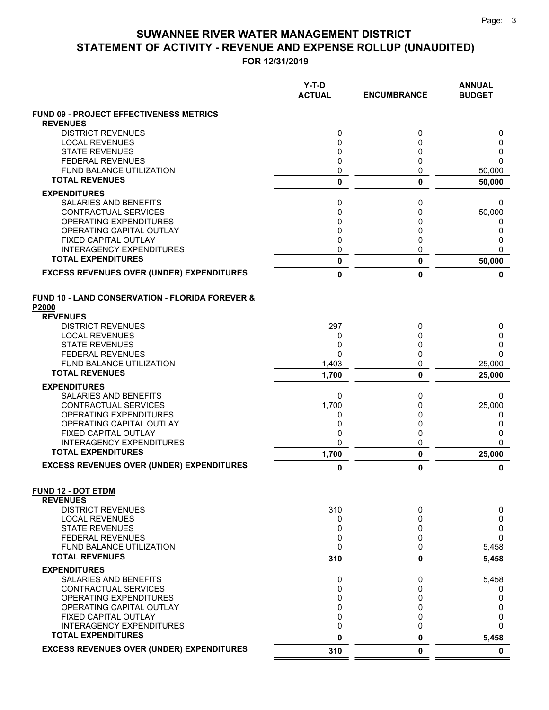|                                                                               | Y-T-D<br><b>ACTUAL</b> | <b>ENCUMBRANCE</b> | <b>ANNUAL</b><br><b>BUDGET</b> |
|-------------------------------------------------------------------------------|------------------------|--------------------|--------------------------------|
| <b>FUND 09 - PROJECT EFFECTIVENESS METRICS</b>                                |                        |                    |                                |
| <b>REVENUES</b>                                                               |                        |                    |                                |
| <b>DISTRICT REVENUES</b>                                                      | 0                      | 0                  | 0                              |
| <b>LOCAL REVENUES</b>                                                         | 0                      | 0                  | 0                              |
| <b>STATE REVENUES</b><br><b>FEDERAL REVENUES</b>                              | 0<br>0                 | 0<br>0             | 0<br>$\Omega$                  |
| <b>FUND BALANCE UTILIZATION</b>                                               | 0                      | 0                  | 50,000                         |
| <b>TOTAL REVENUES</b>                                                         | $\mathbf 0$            | 0                  | 50,000                         |
| <b>EXPENDITURES</b>                                                           |                        |                    |                                |
| <b>SALARIES AND BENEFITS</b>                                                  | 0                      | 0                  | 0                              |
| CONTRACTUAL SERVICES                                                          | 0                      | 0                  | 50,000                         |
| OPERATING EXPENDITURES                                                        | 0                      | 0                  | 0                              |
| OPERATING CAPITAL OUTLAY                                                      | 0                      | 0                  | 0                              |
| <b>FIXED CAPITAL OUTLAY</b>                                                   | 0                      | 0                  | 0                              |
| <b>INTERAGENCY EXPENDITURES</b>                                               | 0                      | 0                  | $\Omega$                       |
| <b>TOTAL EXPENDITURES</b>                                                     | $\bf{0}$               | 0                  | 50,000                         |
| <b>EXCESS REVENUES OVER (UNDER) EXPENDITURES</b>                              | $\mathbf 0$            | 0                  | 0                              |
| <b>FUND 10 - LAND CONSERVATION - FLORIDA FOREVER &amp;</b><br>P2000           |                        |                    |                                |
| <b>REVENUES</b>                                                               |                        |                    |                                |
| <b>DISTRICT REVENUES</b>                                                      | 297                    | 0                  | 0                              |
| <b>LOCAL REVENUES</b>                                                         | 0                      | 0                  | 0                              |
| <b>STATE REVENUES</b><br><b>FEDERAL REVENUES</b>                              | 0<br>$\Omega$          | 0<br>0             | 0<br>$\Omega$                  |
| <b>FUND BALANCE UTILIZATION</b>                                               | 1,403                  | 0                  | 25,000                         |
| <b>TOTAL REVENUES</b>                                                         | 1,700                  | 0                  | 25,000                         |
| <b>EXPENDITURES</b>                                                           |                        |                    |                                |
| <b>SALARIES AND BENEFITS</b>                                                  | 0                      | 0                  | 0                              |
| CONTRACTUAL SERVICES                                                          | 1,700                  | 0                  | 25,000                         |
| OPERATING EXPENDITURES                                                        | 0                      | 0                  | 0                              |
| OPERATING CAPITAL OUTLAY                                                      | 0                      | 0                  | 0                              |
| FIXED CAPITAL OUTLAY                                                          | 0                      | 0                  | 0                              |
| INTERAGENCY EXPENDITURES                                                      | 0                      | 0                  | $\mathbf{0}$                   |
| <b>TOTAL EXPENDITURES</b><br><b>EXCESS REVENUES OVER (UNDER) EXPENDITURES</b> | 1,700                  | 0                  | 25,000                         |
|                                                                               | 0                      | 0                  | 0                              |
| <b>FUND 12 - DOT ETDM</b><br><b>REVENUES</b>                                  |                        |                    |                                |
| <b>DISTRICT REVENUES</b>                                                      | 310                    | 0                  | 0                              |
| <b>LOCAL REVENUES</b>                                                         | 0                      | 0                  | 0                              |
| <b>STATE REVENUES</b>                                                         | 0                      | 0                  | 0                              |
| <b>FEDERAL REVENUES</b>                                                       | 0                      | 0                  | $\Omega$                       |
| <b>FUND BALANCE UTILIZATION</b>                                               | 0                      | 0                  | 5,458                          |
| <b>TOTAL REVENUES</b>                                                         | 310                    | 0                  | 5,458                          |
| <b>EXPENDITURES</b>                                                           |                        |                    |                                |
| SALARIES AND BENEFITS                                                         | 0                      | 0                  | 5,458                          |
| <b>CONTRACTUAL SERVICES</b><br>OPERATING EXPENDITURES                         | 0<br>0                 | 0<br>0             | 0<br>0                         |
| OPERATING CAPITAL OUTLAY                                                      | 0                      | 0                  | 0                              |
| FIXED CAPITAL OUTLAY                                                          | 0                      | 0                  | 0                              |
| <b>INTERAGENCY EXPENDITURES</b>                                               | 0                      | 0                  | $\Omega$                       |
| <b>TOTAL EXPENDITURES</b>                                                     | $\mathbf{0}$           | 0                  | 5,458                          |
| <b>EXCESS REVENUES OVER (UNDER) EXPENDITURES</b>                              | 310                    | 0                  | $\mathbf 0$                    |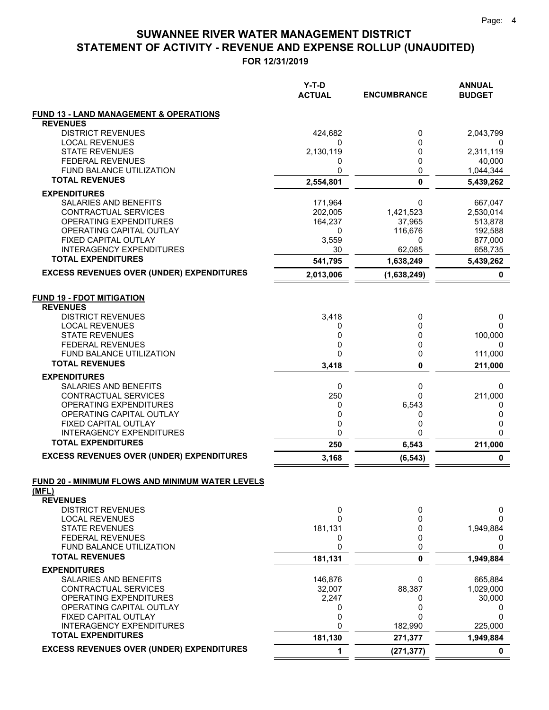|                                                           | $Y-T-D$<br><b>ACTUAL</b> | <b>ENCUMBRANCE</b> | <b>ANNUAL</b><br><b>BUDGET</b> |
|-----------------------------------------------------------|--------------------------|--------------------|--------------------------------|
| <b>FUND 13 - LAND MANAGEMENT &amp; OPERATIONS</b>         |                          |                    |                                |
| <b>REVENUES</b>                                           |                          |                    |                                |
| <b>DISTRICT REVENUES</b><br><b>LOCAL REVENUES</b>         | 424,682<br>0             | 0<br>0             | 2,043,799<br>Ω                 |
| <b>STATE REVENUES</b>                                     | 2,130,119                | 0                  | 2,311,119                      |
| <b>FEDERAL REVENUES</b>                                   | 0                        | 0                  | 40,000                         |
| <b>FUND BALANCE UTILIZATION</b>                           | 0                        | 0                  | 1,044,344                      |
| <b>TOTAL REVENUES</b>                                     | 2,554,801                | $\mathbf 0$        | 5,439,262                      |
| <b>EXPENDITURES</b>                                       |                          |                    |                                |
| SALARIES AND BENEFITS                                     | 171,964                  | 0                  | 667,047                        |
| CONTRACTUAL SERVICES                                      | 202,005                  | 1,421,523          | 2,530,014                      |
| <b>OPERATING EXPENDITURES</b><br>OPERATING CAPITAL OUTLAY | 164,237<br>0             | 37,965             | 513,878                        |
| FIXED CAPITAL OUTLAY                                      | 3,559                    | 116,676<br>0       | 192,588<br>877,000             |
| <b>INTERAGENCY EXPENDITURES</b>                           | 30                       | 62,085             | 658,735                        |
| <b>TOTAL EXPENDITURES</b>                                 | 541,795                  | 1,638,249          | 5,439,262                      |
| <b>EXCESS REVENUES OVER (UNDER) EXPENDITURES</b>          | 2,013,006                | (1,638,249)        | 0                              |
| <b>FUND 19 - FDOT MITIGATION</b>                          |                          |                    |                                |
| <b>REVENUES</b>                                           |                          |                    |                                |
| <b>DISTRICT REVENUES</b>                                  | 3,418                    | 0                  | 0                              |
| <b>LOCAL REVENUES</b><br><b>STATE REVENUES</b>            | 0<br>0                   | 0<br>0             | 0<br>100,000                   |
| <b>FEDERAL REVENUES</b>                                   | 0                        | 0                  | 0                              |
| FUND BALANCE UTILIZATION                                  | 0                        | 0                  | 111,000                        |
| <b>TOTAL REVENUES</b>                                     | 3,418                    | $\mathbf 0$        | 211,000                        |
| <b>EXPENDITURES</b>                                       |                          |                    |                                |
| SALARIES AND BENEFITS                                     | 0                        | 0                  | 0                              |
| CONTRACTUAL SERVICES                                      | 250                      | 0                  | 211,000                        |
| OPERATING EXPENDITURES                                    | 0                        | 6,543              | 0                              |
| OPERATING CAPITAL OUTLAY<br>FIXED CAPITAL OUTLAY          | 0<br>0                   | 0<br>0             | 0<br>0                         |
| <b>INTERAGENCY EXPENDITURES</b>                           | 0                        | 0                  | 0                              |
| <b>TOTAL EXPENDITURES</b>                                 | 250                      | 6,543              | 211,000                        |
| <b>EXCESS REVENUES OVER (UNDER) EXPENDITURES</b>          | 3,168                    | (6, 543)           | 0                              |
| FUND 20 - MINIMUM FLOWS AND MINIMUM WATER LEVELS          |                          |                    |                                |
| (MFL)                                                     |                          |                    |                                |
| <b>REVENUES</b>                                           |                          |                    |                                |
| <b>DISTRICT REVENUES</b><br><b>LOCAL REVENUES</b>         | 0<br>0                   | 0<br>$\Omega$      | 0<br>0                         |
| <b>STATE REVENUES</b>                                     | 181,131                  | 0                  | 1,949,884                      |
| <b>FEDERAL REVENUES</b>                                   | 0                        | 0                  | 0                              |
| FUND BALANCE UTILIZATION                                  | 0                        | 0                  | 0                              |
| <b>TOTAL REVENUES</b>                                     | 181,131                  | $\mathbf{0}$       | 1,949,884                      |
| <b>EXPENDITURES</b>                                       |                          |                    |                                |
| SALARIES AND BENEFITS                                     | 146,876                  | 0                  | 665,884                        |
| CONTRACTUAL SERVICES                                      | 32,007                   | 88,387             | 1,029,000                      |
| OPERATING EXPENDITURES<br>OPERATING CAPITAL OUTLAY        | 2,247<br>0               | 0<br>0             | 30,000<br>0                    |
| FIXED CAPITAL OUTLAY                                      | 0                        | $\Omega$           | 0                              |
| <b>INTERAGENCY EXPENDITURES</b>                           | 0                        | 182,990            | 225,000                        |
| <b>TOTAL EXPENDITURES</b>                                 | 181,130                  | 271,377            | 1,949,884                      |
| <b>EXCESS REVENUES OVER (UNDER) EXPENDITURES</b>          | 1                        | (271, 377)         | 0                              |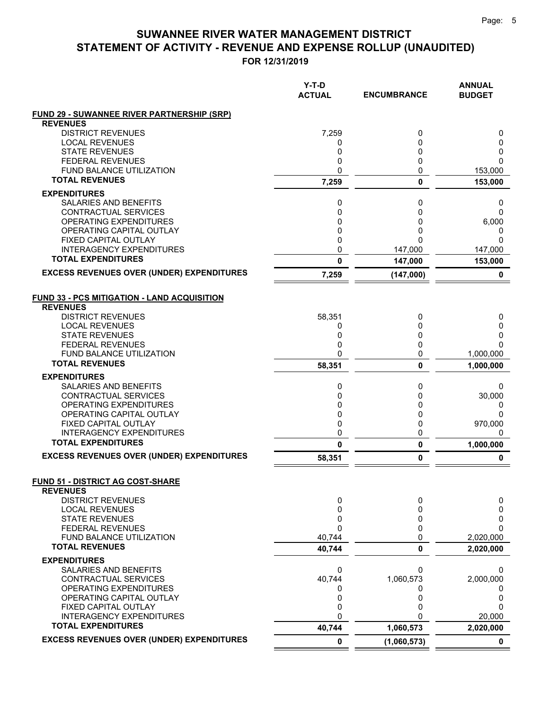|                                                     | Y-T-D<br><b>ACTUAL</b> | <b>ENCUMBRANCE</b> | <b>ANNUAL</b><br><b>BUDGET</b> |
|-----------------------------------------------------|------------------------|--------------------|--------------------------------|
| <b>FUND 29 - SUWANNEE RIVER PARTNERSHIP (SRP)</b>   |                        |                    |                                |
| <b>REVENUES</b>                                     |                        |                    |                                |
| <b>DISTRICT REVENUES</b>                            | 7,259                  | 0                  | 0                              |
| <b>LOCAL REVENUES</b><br><b>STATE REVENUES</b>      | 0<br>0                 | 0<br>0             | 0<br>0                         |
| <b>FEDERAL REVENUES</b>                             | 0                      | 0                  | $\Omega$                       |
| <b>FUND BALANCE UTILIZATION</b>                     | 0                      | 0                  | 153,000                        |
| <b>TOTAL REVENUES</b>                               | 7,259                  | 0                  | 153,000                        |
| <b>EXPENDITURES</b>                                 |                        |                    |                                |
| SALARIES AND BENEFITS                               | 0                      | 0                  | 0                              |
| CONTRACTUAL SERVICES                                | 0                      | 0                  | 0                              |
| OPERATING EXPENDITURES                              | 0                      | 0                  | 6,000                          |
| OPERATING CAPITAL OUTLAY<br>FIXED CAPITAL OUTLAY    | 0<br>0                 | 0<br>0             | 0<br>$\Omega$                  |
| <b>INTERAGENCY EXPENDITURES</b>                     | 0                      | 147,000            | 147,000                        |
| <b>TOTAL EXPENDITURES</b>                           | $\mathbf{0}$           | 147,000            | 153,000                        |
| <b>EXCESS REVENUES OVER (UNDER) EXPENDITURES</b>    | 7,259                  | (147,000)          | 0                              |
|                                                     |                        |                    |                                |
| <b>FUND 33 - PCS MITIGATION - LAND ACQUISITION</b>  |                        |                    |                                |
| <b>REVENUES</b>                                     |                        |                    |                                |
| <b>DISTRICT REVENUES</b>                            | 58,351                 | 0                  | 0                              |
| <b>LOCAL REVENUES</b><br><b>STATE REVENUES</b>      | 0<br>0                 | 0<br>0             | 0<br>0                         |
| <b>FEDERAL REVENUES</b>                             | 0                      | 0                  | 0                              |
| <b>FUND BALANCE UTILIZATION</b>                     | 0                      | 0                  | 1,000,000                      |
| <b>TOTAL REVENUES</b>                               | 58,351                 | 0                  | 1,000,000                      |
| <b>EXPENDITURES</b>                                 |                        |                    |                                |
| SALARIES AND BENEFITS                               | 0                      | 0                  | 0                              |
| CONTRACTUAL SERVICES                                | 0                      | 0                  | 30,000                         |
| OPERATING EXPENDITURES                              | 0                      | 0                  | 0                              |
| OPERATING CAPITAL OUTLAY<br>FIXED CAPITAL OUTLAY    | 0<br>0                 | 0<br>0             | 0<br>970,000                   |
| <b>INTERAGENCY EXPENDITURES</b>                     | 0                      | 0                  | 0                              |
| <b>TOTAL EXPENDITURES</b>                           | $\mathbf{0}$           | 0                  | 1,000,000                      |
| <b>EXCESS REVENUES OVER (UNDER) EXPENDITURES</b>    | 58,351                 | 0                  | 0                              |
|                                                     |                        |                    |                                |
| FUND 51 - DISTRICT AG COST-SHARE<br><b>REVENUES</b> |                        |                    |                                |
| <b>DISTRICT REVENUES</b>                            | 0                      | 0                  | 0                              |
| <b>LOCAL REVENUES</b>                               | 0                      | 0                  | 0                              |
| <b>STATE REVENUES</b>                               | 0                      | 0                  | 0                              |
| <b>FEDERAL REVENUES</b>                             | 0                      | 0                  | $\Omega$                       |
| FUND BALANCE UTILIZATION                            | 40,744                 | 0                  | 2,020,000                      |
| <b>TOTAL REVENUES</b>                               | 40,744                 | 0                  | 2,020,000                      |
| <b>EXPENDITURES</b>                                 |                        |                    |                                |
| SALARIES AND BENEFITS<br>CONTRACTUAL SERVICES       | 0<br>40,744            | 0<br>1,060,573     | 0<br>2,000,000                 |
| OPERATING EXPENDITURES                              | 0                      | 0                  | 0                              |
| OPERATING CAPITAL OUTLAY                            | 0                      | 0                  | 0                              |
| FIXED CAPITAL OUTLAY                                | 0                      | 0                  | 0                              |
| <b>INTERAGENCY EXPENDITURES</b>                     | $\mathbf 0$            |                    | 20,000                         |
| <b>TOTAL EXPENDITURES</b>                           | 40,744                 | 1,060,573          | 2,020,000                      |
| <b>EXCESS REVENUES OVER (UNDER) EXPENDITURES</b>    | $\mathbf 0$            | (1,060,573)        | $\mathbf 0$                    |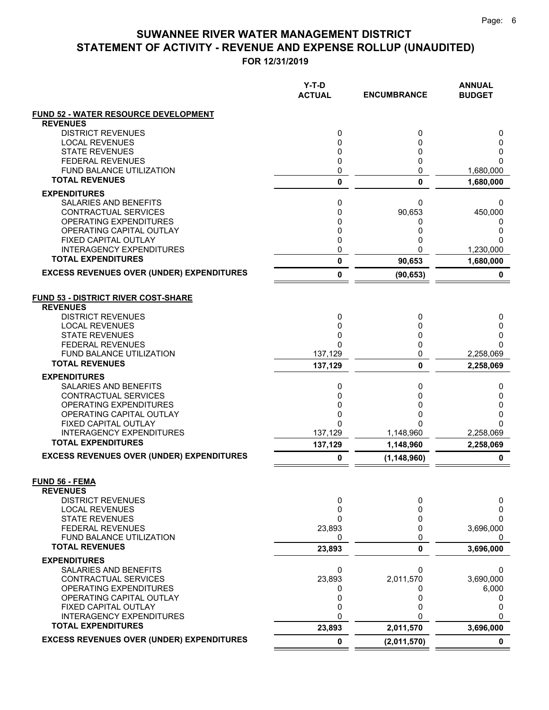|                                                         | Y-T-D<br><b>ACTUAL</b> | <b>ENCUMBRANCE</b> | <b>ANNUAL</b><br><b>BUDGET</b> |
|---------------------------------------------------------|------------------------|--------------------|--------------------------------|
| FUND 52 - WATER RESOURCE DEVELOPMENT                    |                        |                    |                                |
| <b>REVENUES</b>                                         |                        |                    |                                |
| <b>DISTRICT REVENUES</b>                                | 0                      | 0                  | 0                              |
| <b>LOCAL REVENUES</b>                                   | 0                      | 0<br>0             | 0                              |
| <b>STATE REVENUES</b><br><b>FEDERAL REVENUES</b>        | 0<br>0                 | 0                  | 0<br>$\Omega$                  |
| <b>FUND BALANCE UTILIZATION</b>                         | 0                      | 0                  | 1,680,000                      |
| <b>TOTAL REVENUES</b>                                   | 0                      | 0                  | 1,680,000                      |
| <b>EXPENDITURES</b>                                     |                        |                    |                                |
| SALARIES AND BENEFITS                                   | 0                      | 0                  | 0                              |
| CONTRACTUAL SERVICES                                    | 0                      | 90,653             | 450,000                        |
| OPERATING EXPENDITURES                                  | 0                      | 0                  | 0                              |
| OPERATING CAPITAL OUTLAY<br>FIXED CAPITAL OUTLAY        | 0<br>0                 | 0<br>0             | 0<br>0                         |
| <b>INTERAGENCY EXPENDITURES</b>                         | 0                      | 0                  | 1,230,000                      |
| <b>TOTAL EXPENDITURES</b>                               | $\pmb{0}$              | 90,653             | 1,680,000                      |
| <b>EXCESS REVENUES OVER (UNDER) EXPENDITURES</b>        | 0                      | (90, 653)          | 0                              |
|                                                         |                        |                    |                                |
| <b>FUND 53 - DISTRICT RIVER COST-SHARE</b>              |                        |                    |                                |
| <b>REVENUES</b>                                         |                        |                    |                                |
| <b>DISTRICT REVENUES</b><br><b>LOCAL REVENUES</b>       | 0<br>0                 | 0<br>0             | 0<br>0                         |
| <b>STATE REVENUES</b>                                   | 0                      | 0                  | 0                              |
| <b>FEDERAL REVENUES</b>                                 | $\Omega$               | 0                  | $\Omega$                       |
| <b>FUND BALANCE UTILIZATION</b>                         | 137,129                | 0                  | 2,258,069                      |
| <b>TOTAL REVENUES</b>                                   | 137,129                | 0                  | 2,258,069                      |
| <b>EXPENDITURES</b>                                     |                        |                    |                                |
| <b>SALARIES AND BENEFITS</b>                            | 0                      | 0                  | 0                              |
| CONTRACTUAL SERVICES<br>OPERATING EXPENDITURES          | 0<br>0                 | 0<br>0             | 0<br>0                         |
| OPERATING CAPITAL OUTLAY                                | 0                      | 0                  | 0                              |
| FIXED CAPITAL OUTLAY                                    | $\Omega$               | U                  | $\Omega$                       |
| <b>INTERAGENCY EXPENDITURES</b>                         | 137,129                | 1,148,960          | 2,258,069                      |
| <b>TOTAL EXPENDITURES</b>                               | 137,129                | 1,148,960          | 2,258,069                      |
| <b>EXCESS REVENUES OVER (UNDER) EXPENDITURES</b>        | 0                      | (1, 148, 960)      | 0                              |
| FUND 56 - FEMA                                          |                        |                    |                                |
| <b>REVENUES</b>                                         |                        |                    |                                |
| <b>DISTRICT REVENUES</b>                                | 0                      | 0                  | 0                              |
| <b>LOCAL REVENUES</b>                                   | 0                      | 0                  | 0                              |
| <b>STATE REVENUES</b>                                   | 0                      | 0                  | 0                              |
| <b>FEDERAL REVENUES</b><br>FUND BALANCE UTILIZATION     | 23,893<br>0            | 0<br>0             | 3,696,000<br>0                 |
| <b>TOTAL REVENUES</b>                                   | 23,893                 | 0                  | 3,696,000                      |
| <b>EXPENDITURES</b>                                     |                        |                    |                                |
| SALARIES AND BENEFITS                                   | 0                      | 0                  | 0                              |
| CONTRACTUAL SERVICES                                    | 23,893                 | 2,011,570          | 3,690,000                      |
| OPERATING EXPENDITURES                                  | 0                      | 0                  | 6,000                          |
| OPERATING CAPITAL OUTLAY                                | 0                      | 0                  | 0                              |
| FIXED CAPITAL OUTLAY<br><b>INTERAGENCY EXPENDITURES</b> | 0<br>0                 | 0                  | 0<br>0                         |
| <b>TOTAL EXPENDITURES</b>                               | 23,893                 | 2,011,570          | 3,696,000                      |
| <b>EXCESS REVENUES OVER (UNDER) EXPENDITURES</b>        | 0                      | (2,011,570)        | $\mathbf 0$                    |